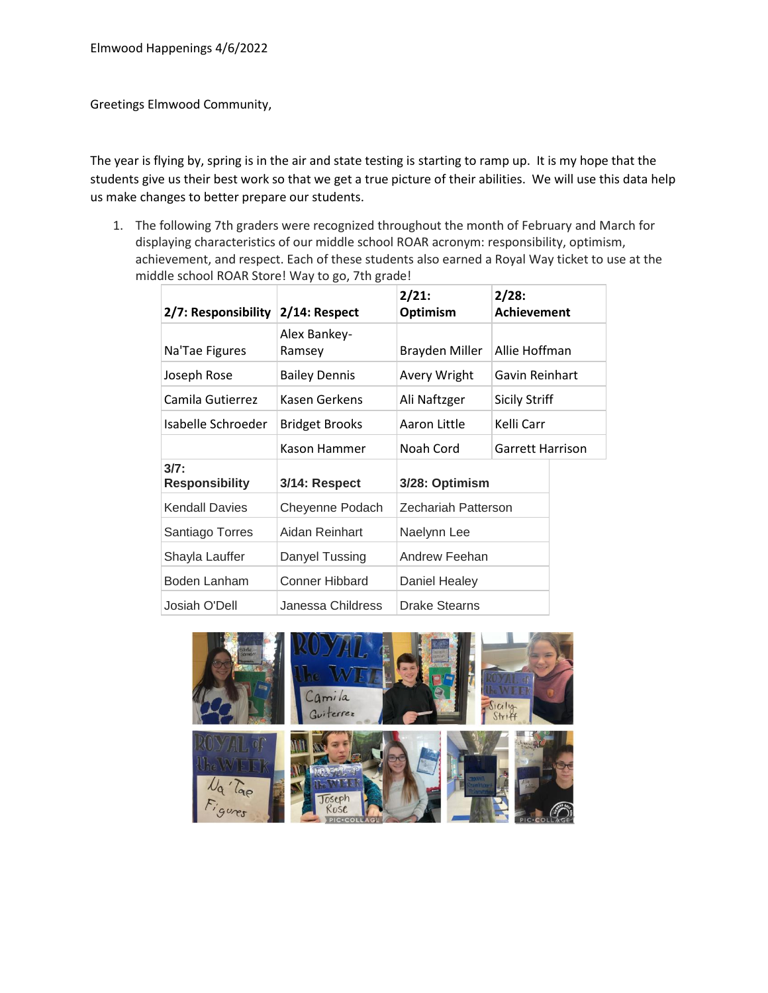Greetings Elmwood Community,

The year is flying by, spring is in the air and state testing is starting to ramp up. It is my hope that the students give us their best work so that we get a true picture of their abilities. We will use this data help us make changes to better prepare our students.

1. The following 7th graders were recognized throughout the month of February and March for displaying characteristics of our middle school ROAR acronym: responsibility, optimism, achievement, and respect. Each of these students also earned a Royal Way ticket to use at the middle school ROAR Store! Way to go, 7th grade!

| 2/7: Responsibility    | 2/14: Respect          | 2/21:<br>Optimism    | 2/28:<br><b>Achievement</b> |  |
|------------------------|------------------------|----------------------|-----------------------------|--|
| Na'Tae Figures         | Alex Bankey-<br>Ramsey | Brayden Miller       | Allie Hoffman               |  |
| Joseph Rose            | <b>Bailey Dennis</b>   | Avery Wright         | Gavin Reinhart              |  |
| Camila Gutierrez       | Kasen Gerkens          | Ali Naftzger         | <b>Sicily Striff</b>        |  |
| Isabelle Schroeder     | <b>Bridget Brooks</b>  | Aaron Little         | Kelli Carr                  |  |
|                        | Kason Hammer           | Noah Cord            | Garrett Harrison            |  |
| 3/7:<br>Responsibility | 3/14: Respect          | 3/28: Optimism       |                             |  |
| Kendall Davies         | Cheyenne Podach        | Zechariah Patterson  |                             |  |
| Santiago Torres        | Aidan Reinhart         | Naelynn Lee          |                             |  |
| Shayla Lauffer         | Danyel Tussing         | Andrew Feehan        |                             |  |
| Boden Lanham           | Conner Hibbard         | Daniel Healey        |                             |  |
| Josiah O'Dell          | Janessa Childress      | <b>Drake Stearns</b> |                             |  |

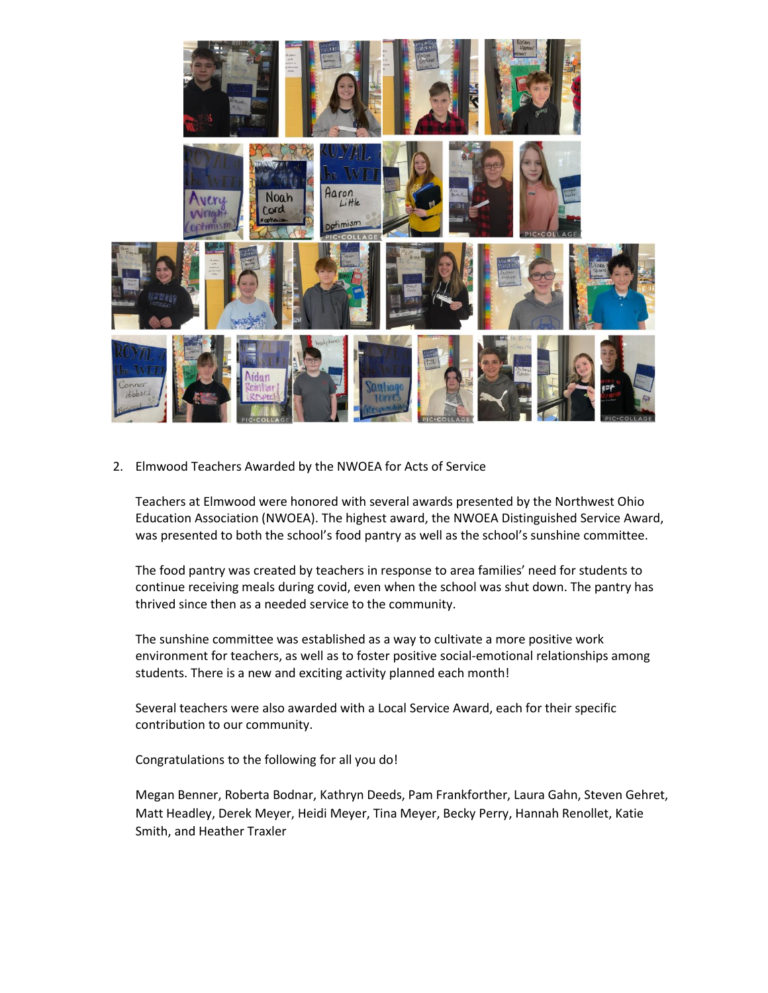

2. Elmwood Teachers Awarded by the NWOEA for Acts of Service

Teachers at Elmwood were honored with several awards presented by the Northwest Ohio Education Association (NWOEA). The highest award, the NWOEA Distinguished Service Award, was presented to both the school's food pantry as well as the school's sunshine committee.

The food pantry was created by teachers in response to area families' need for students to continue receiving meals during covid, even when the school was shut down. The pantry has thrived since then as a needed service to the community.

The sunshine committee was established as a way to cultivate a more positive work environment for teachers, as well as to foster positive social-emotional relationships among students. There is a new and exciting activity planned each month!

Several teachers were also awarded with a Local Service Award, each for their specific contribution to our community.

Congratulations to the following for all you do!

Megan Benner, Roberta Bodnar, Kathryn Deeds, Pam Frankforther, Laura Gahn, Steven Gehret, Matt Headley, Derek Meyer, Heidi Meyer, Tina Meyer, Becky Perry, Hannah Renollet, Katie Smith, and Heather Traxler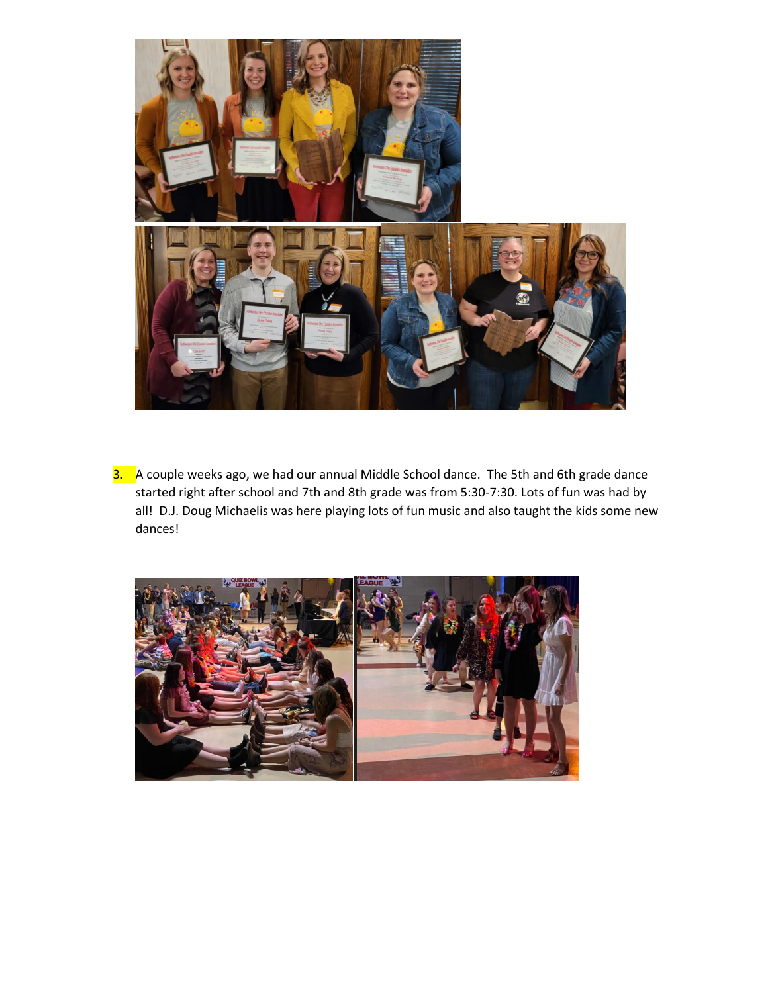

3. A couple weeks ago, we had our annual Middle School dance. The 5th and 6th grade dance started right after school and 7th and 8th grade was from 5:30-7:30. Lots of fun was had by all! D.J. Doug Michaelis was here playing lots of fun music and also taught the kids some new dances!

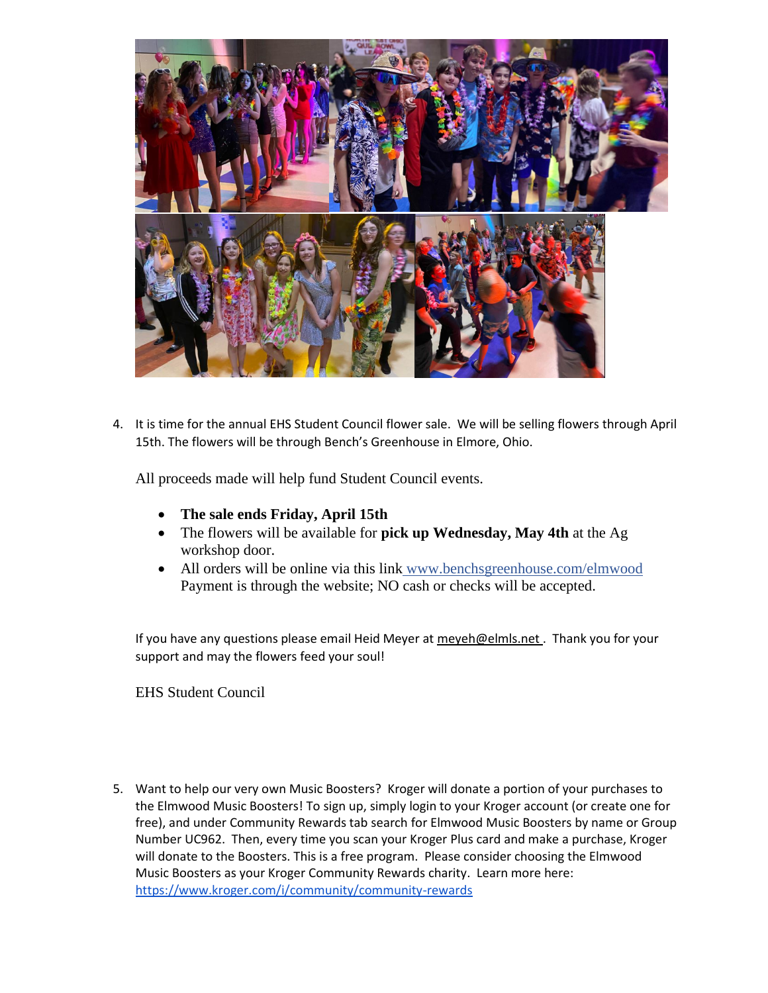

4. It is time for the annual EHS Student Council flower sale. We will be selling flowers through April 15th. The flowers will be through Bench's Greenhouse in Elmore, Ohio.

All proceeds made will help fund Student Council events.

- **The sale ends Friday, April 15th**
- The flowers will be available for **pick up Wednesday, May 4th** at the Ag workshop door.
- All orders will be online via this link www.benchsgreenhouse.com/elmwood Payment is through the website; NO cash or checks will be accepted.

If you have any questions please email Heid Meyer a[t meyeh@elmls.net](mailto:meyeh@elmls.net) . Thank you for your support and may the flowers feed your soul!

EHS Student Council

5. Want to help our very own Music Boosters? Kroger will donate a portion of your purchases to the Elmwood Music Boosters! To sign up, simply login to your Kroger account (or create one for free), and under Community Rewards tab search for Elmwood Music Boosters by name or Group Number UC962. Then, every time you scan your Kroger Plus card and make a purchase, Kroger will donate to the Boosters. This is a free program. Please consider choosing the Elmwood Music Boosters as your Kroger Community Rewards charity. Learn more here: <https://www.kroger.com/i/community/community-rewards>